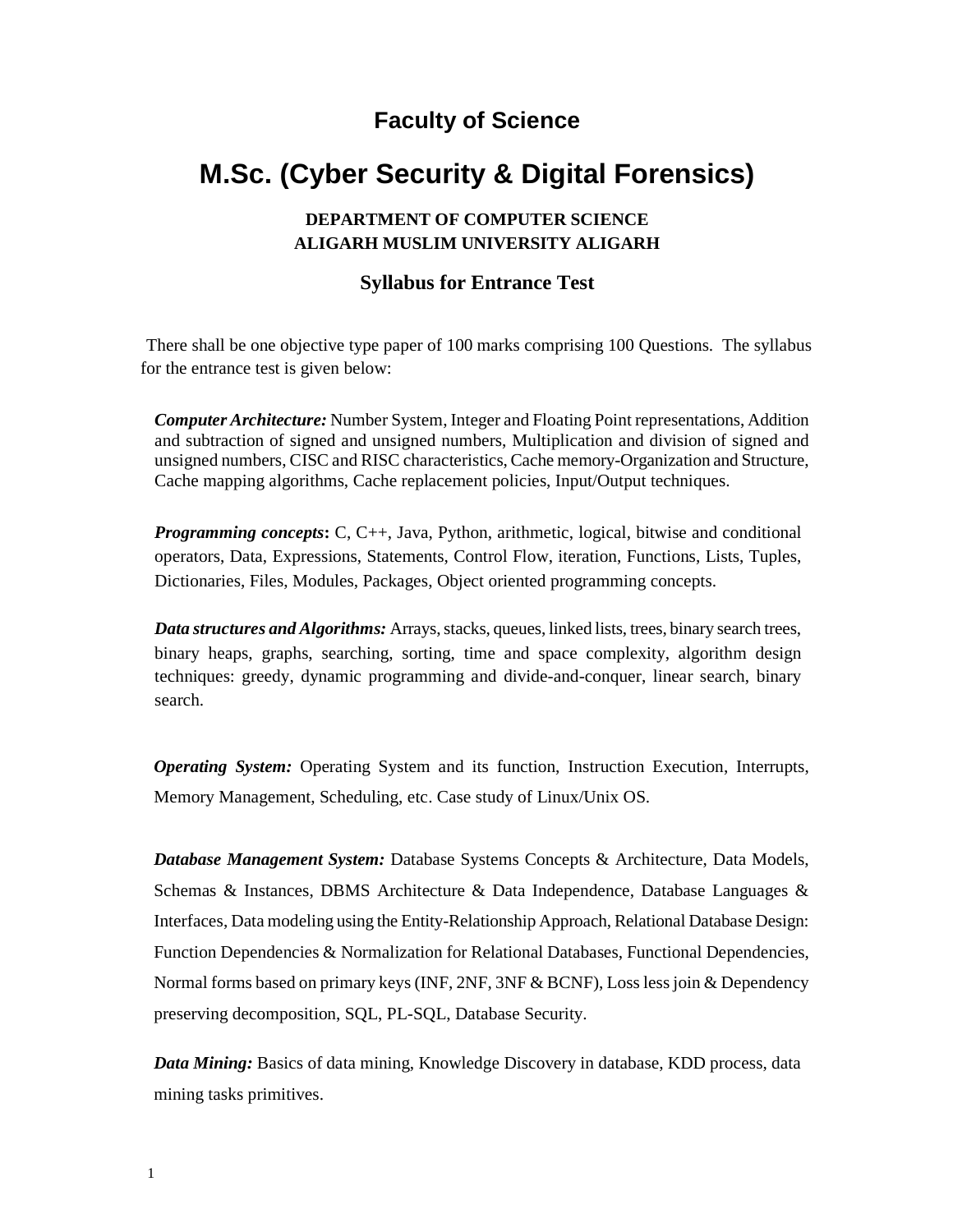## **Faculty of Science**

## **M.Sc. (Cyber Security & Digital Forensics)**

## **DEPARTMENT OF COMPUTER SCIENCE ALIGARH MUSLIM UNIVERSITY ALIGARH**

## **Syllabus for Entrance Test**

There shall be one objective type paper of 100 marks comprising 100 Questions. The syllabus for the entrance test is given below:

*Computer Architecture:* Number System, Integer and Floating Point representations, Addition and subtraction of signed and unsigned numbers, Multiplication and division of signed and unsigned numbers, CISC and RISC characteristics,Cache memory-Organization and Structure, Cache mapping algorithms, Cache replacement policies, Input/Output techniques.

*Programming concepts***:** C, C++, Java, Python, arithmetic, logical, bitwise and conditional operators, Data, Expressions, Statements, Control Flow, iteration, Functions, Lists, Tuples, Dictionaries, Files, Modules, Packages, Object oriented programming concepts.

*Data structures and Algorithms:* Arrays, stacks, queues, linked lists, trees, binary search trees, binary heaps, graphs, searching, sorting, time and space complexity, algorithm design techniques: greedy, dynamic programming and divide-and-conquer, linear search, binary search.

*Operating System:* Operating System and its function, Instruction Execution, Interrupts, Memory Management, Scheduling, etc. Case study of Linux/Unix OS.

*Database Management System:* Database Systems Concepts & Architecture, Data Models, Schemas & Instances, DBMS Architecture & Data Independence, Database Languages & Interfaces, Data modeling using the Entity-Relationship Approach, Relational Database Design: Function Dependencies & Normalization for Relational Databases, Functional Dependencies, Normal forms based on primary keys (INF, 2NF, 3NF & BCNF), Losslessjoin & Dependency preserving decomposition, SQL, PL-SQL, Database Security.

*Data Mining:* Basics of data mining, Knowledge Discovery in database, KDD process, data mining tasks primitives.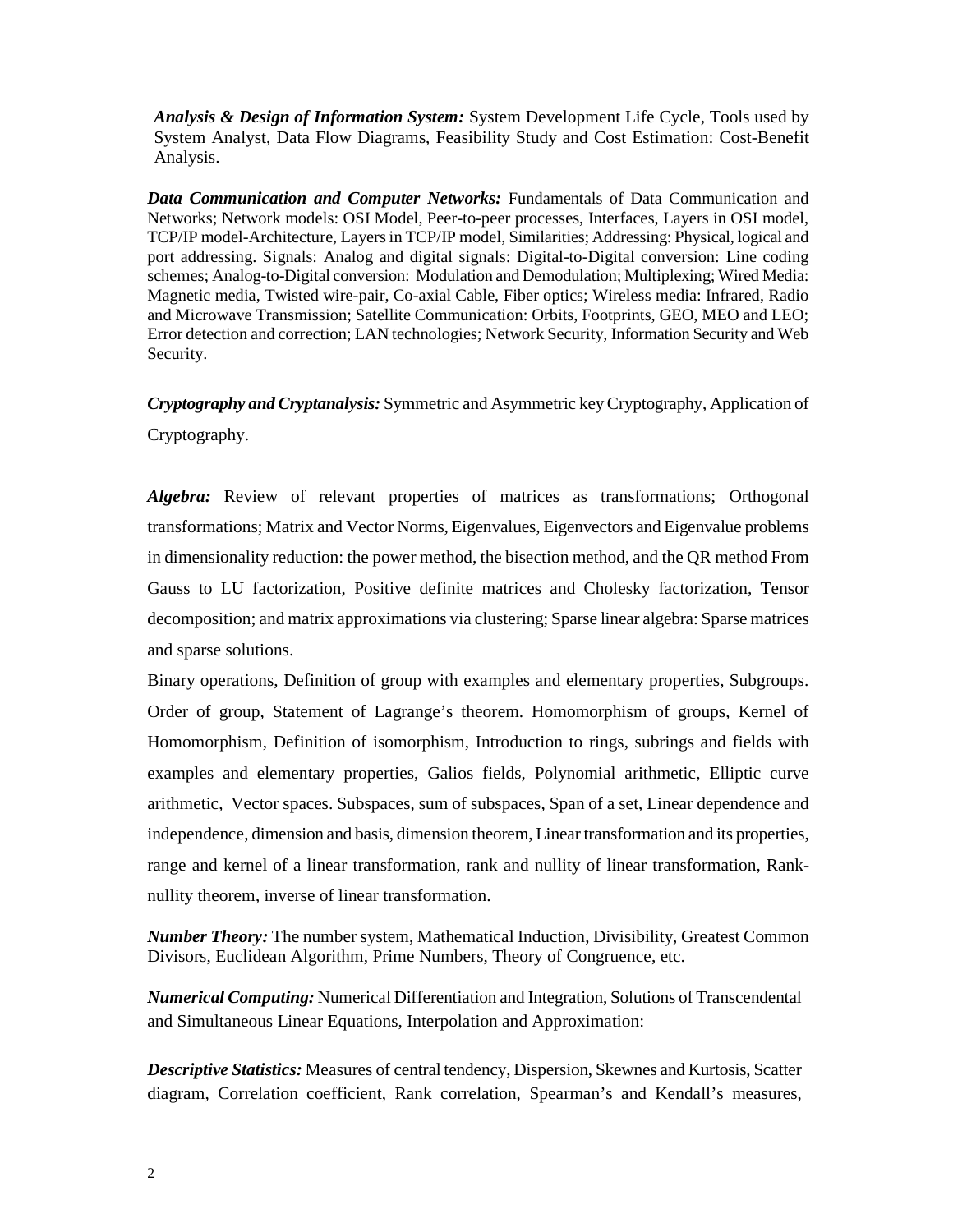*Analysis & Design of Information System:* System Development Life Cycle, Tools used by System Analyst, Data Flow Diagrams, Feasibility Study and Cost Estimation: Cost-Benefit Analysis.

*Data Communication and Computer Networks:* Fundamentals of Data Communication and Networks; Network models: OSI Model, Peer-to-peer processes, Interfaces, Layers in OSI model, TCP/IP model-Architecture, Layersin TCP/IP model, Similarities; Addressing: Physical, logical and port addressing. Signals: Analog and digital signals: Digital-to-Digital conversion: Line coding schemes; Analog-to-Digital conversion: Modulation and Demodulation; Multiplexing; Wired Media: Magnetic media, Twisted wire-pair, Co-axial Cable, Fiber optics; Wireless media: Infrared, Radio and Microwave Transmission; Satellite Communication: Orbits, Footprints, GEO, MEO and LEO; Error detection and correction; LAN technologies; Network Security, Information Security and Web Security.

*Cryptography and Cryptanalysis:* Symmetric and Asymmetric keyCryptography, Application of Cryptography.

*Algebra:* Review of relevant properties of matrices as transformations; Orthogonal transformations; Matrix and Vector Norms, Eigenvalues, Eigenvectors and Eigenvalue problems in dimensionality reduction: the power method, the bisection method, and the QR method From Gauss to LU factorization, Positive definite matrices and Cholesky factorization, Tensor decomposition; and matrix approximations via clustering; Sparse linear algebra: Sparse matrices and sparse solutions.

Binary operations, Definition of group with examples and elementary properties, Subgroups. Order of group, Statement of Lagrange's theorem. Homomorphism of groups, Kernel of Homomorphism, Definition of isomorphism, Introduction to rings, subrings and fields with examples and elementary properties, Galios fields, Polynomial arithmetic, Elliptic curve arithmetic, Vector spaces. Subspaces, sum of subspaces, Span of a set, Linear dependence and independence, dimension and basis, dimension theorem, Linear transformation and its properties, range and kernel of a linear transformation, rank and nullity of linear transformation, Ranknullity theorem, inverse of linear transformation.

*Number Theory:* The number system, Mathematical Induction, Divisibility, Greatest Common Divisors, Euclidean Algorithm, Prime Numbers, Theory of Congruence, etc.

*Numerical Computing:* Numerical Differentiation and Integration, Solutions of Transcendental and Simultaneous Linear Equations, Interpolation and Approximation:

*Descriptive Statistics:* Measures of central tendency, Dispersion, Skewnes and Kurtosis, Scatter diagram, Correlation coefficient, Rank correlation, Spearman's and Kendall's measures,